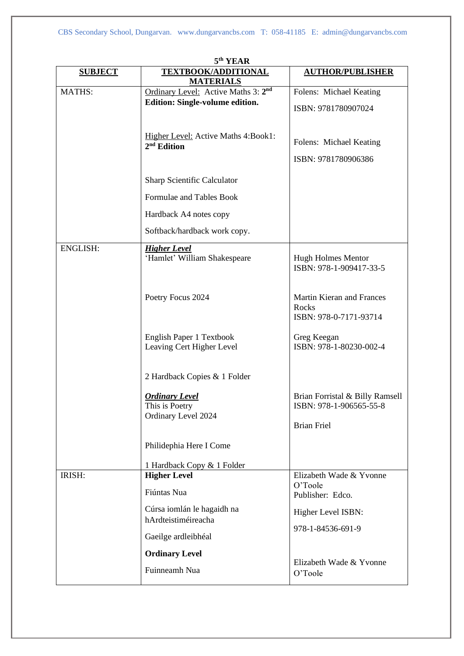| 5 <sup>th</sup> YEAR |                                                                |                                                                                  |  |  |
|----------------------|----------------------------------------------------------------|----------------------------------------------------------------------------------|--|--|
| <b>SUBJECT</b>       | <b>TEXTBOOK/ADDITIONAL</b><br><b>MATERIALS</b>                 | <b>AUTHOR/PUBLISHER</b>                                                          |  |  |
| MATHS:               | Ordinary Level: Active Maths 3: 2 <sup>nd</sup>                | Folens: Michael Keating                                                          |  |  |
|                      | Edition: Single-volume edition.                                | ISBN: 9781780907024                                                              |  |  |
|                      | Higher Level: Active Maths 4:Book1:<br>$2nd$ Edition           | Folens: Michael Keating                                                          |  |  |
|                      |                                                                | ISBN: 9781780906386                                                              |  |  |
|                      | Sharp Scientific Calculator                                    |                                                                                  |  |  |
|                      | Formulae and Tables Book                                       |                                                                                  |  |  |
|                      | Hardback A4 notes copy                                         |                                                                                  |  |  |
|                      | Softback/hardback work copy.                                   |                                                                                  |  |  |
| <b>ENGLISH:</b>      | <b>Higher Level</b><br>'Hamlet' William Shakespeare            | <b>Hugh Holmes Mentor</b><br>ISBN: 978-1-909417-33-5                             |  |  |
|                      | Poetry Focus 2024                                              | Martin Kieran and Frances<br>Rocks<br>ISBN: 978-0-7171-93714                     |  |  |
|                      | English Paper 1 Textbook<br>Leaving Cert Higher Level          | Greg Keegan<br>ISBN: 978-1-80230-002-4                                           |  |  |
|                      | 2 Hardback Copies & 1 Folder                                   |                                                                                  |  |  |
|                      | <b>Ordinary Level</b><br>This is Poetry<br>Ordinary Level 2024 | Brian Forristal & Billy Ramsell<br>ISBN: 978-1-906565-55-8<br><b>Brian Friel</b> |  |  |
|                      | Philidephia Here I Come                                        |                                                                                  |  |  |
|                      | 1 Hardback Copy & 1 Folder                                     |                                                                                  |  |  |
| IRISH:               | <b>Higher Level</b>                                            | Elizabeth Wade & Yvonne                                                          |  |  |
|                      | Fiúntas Nua                                                    | O'Toole<br>Publisher: Edco.                                                      |  |  |
|                      | Cúrsa iomlán le hagaidh na<br>hArdteistiméireacha              | Higher Level ISBN:                                                               |  |  |
|                      | Gaeilge ardleibhéal                                            | 978-1-84536-691-9                                                                |  |  |
|                      | <b>Ordinary Level</b>                                          |                                                                                  |  |  |
|                      | Fuinneamh Nua                                                  | Elizabeth Wade & Yvonne<br>O'Toole                                               |  |  |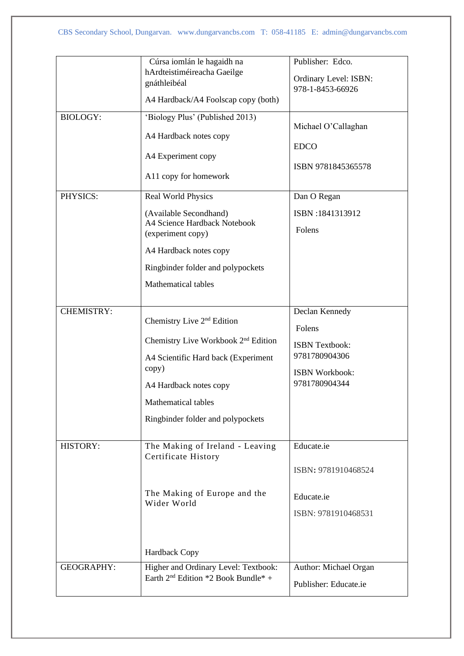|                   | Cúrsa iomlán le hagaidh na                      | Publisher: Edco.      |
|-------------------|-------------------------------------------------|-----------------------|
|                   | hArdteistiméireacha Gaeilge                     |                       |
|                   | gnáthleibéal                                    | Ordinary Level: ISBN: |
|                   |                                                 | 978-1-8453-66926      |
|                   | A4 Hardback/A4 Foolscap copy (both)             |                       |
| <b>BIOLOGY:</b>   | 'Biology Plus' (Published 2013)                 |                       |
|                   |                                                 | Michael O'Callaghan   |
|                   | A4 Hardback notes copy                          |                       |
|                   | A4 Experiment copy                              | <b>EDCO</b>           |
|                   |                                                 | ISBN 9781845365578    |
|                   | A11 copy for homework                           |                       |
|                   |                                                 |                       |
| PHYSICS:          | <b>Real World Physics</b>                       | Dan O Regan           |
|                   | (Available Secondhand)                          | ISBN:1841313912       |
|                   | A4 Science Hardback Notebook                    |                       |
|                   | (experiment copy)                               | Folens                |
|                   | A4 Hardback notes copy                          |                       |
|                   | Ringbinder folder and polypockets               |                       |
|                   | <b>Mathematical tables</b>                      |                       |
|                   |                                                 |                       |
| <b>CHEMISTRY:</b> |                                                 | Declan Kennedy        |
|                   | Chemistry Live 2 <sup>nd</sup> Edition          |                       |
|                   |                                                 | Folens                |
|                   | Chemistry Live Workbook 2 <sup>nd</sup> Edition | <b>ISBN</b> Textbook: |
|                   | A4 Scientific Hard back (Experiment             | 9781780904306         |
|                   | copy)                                           |                       |
|                   |                                                 | ISBN Workbook:        |
|                   | A4 Hardback notes copy                          | 9781780904344         |
|                   | Mathematical tables                             |                       |
|                   | Ringbinder folder and polypockets               |                       |
|                   |                                                 |                       |
| HISTORY:          | The Making of Ireland - Leaving                 | Educate.ie            |
|                   | Certificate History                             |                       |
|                   |                                                 | ISBN: 9781910468524   |
|                   | The Making of Europe and the                    |                       |
|                   | Wider World                                     | Educate.ie            |
|                   |                                                 | ISBN: 9781910468531   |
|                   |                                                 |                       |
|                   |                                                 |                       |
|                   | Hardback Copy                                   |                       |
| <b>GEOGRAPHY:</b> | Higher and Ordinary Level: Textbook:            | Author: Michael Organ |
|                   | Earth 2 <sup>nd</sup> Edition *2 Book Bundle* + | Publisher: Educate.ie |
|                   |                                                 |                       |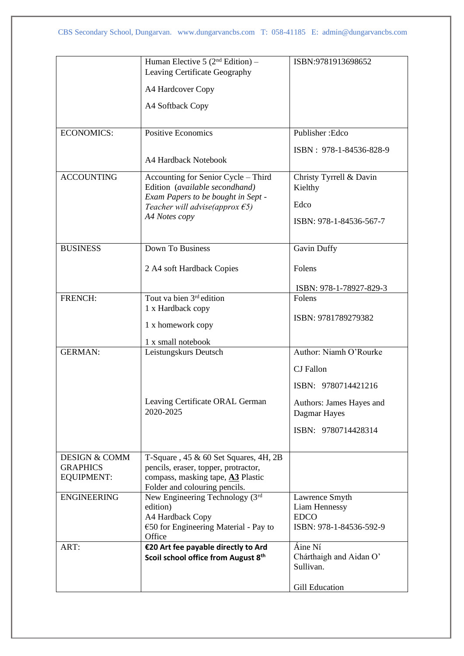|                                                                  | Human Elective 5 $(2nd Edition)$ –<br>Leaving Certificate Geography<br>A4 Hardcover Copy                                                                                 | ISBN:9781913698652                                                        |
|------------------------------------------------------------------|--------------------------------------------------------------------------------------------------------------------------------------------------------------------------|---------------------------------------------------------------------------|
|                                                                  | A4 Softback Copy                                                                                                                                                         |                                                                           |
| <b>ECONOMICS:</b>                                                | <b>Positive Economics</b>                                                                                                                                                | Publisher: Edco                                                           |
|                                                                  | A4 Hardback Notebook                                                                                                                                                     | ISBN: 978-1-84536-828-9                                                   |
| <b>ACCOUNTING</b>                                                | Accounting for Senior Cycle - Third<br>Edition (available secondhand)<br>Exam Papers to be bought in Sept -<br>Teacher will advise(approx $\epsilon$ 5)<br>A4 Notes copy | Christy Tyrrell & Davin<br>Kielthy<br>Edco<br>ISBN: 978-1-84536-567-7     |
| <b>BUSINESS</b>                                                  | Down To Business                                                                                                                                                         | Gavin Duffy                                                               |
|                                                                  | 2 A4 soft Hardback Copies                                                                                                                                                | Folens                                                                    |
| FRENCH:                                                          | Tout va bien 3rd edition                                                                                                                                                 | ISBN: 978-1-78927-829-3<br>Folens                                         |
|                                                                  | 1 x Hardback copy                                                                                                                                                        |                                                                           |
|                                                                  | 1 x homework copy                                                                                                                                                        | ISBN: 9781789279382                                                       |
|                                                                  | 1 x small notebook                                                                                                                                                       |                                                                           |
| <b>GERMAN:</b>                                                   | Leistungskurs Deutsch                                                                                                                                                    | Author: Niamh O'Rourke<br><b>CJ</b> Fallon<br>ISBN: 9780714421216         |
|                                                                  | Leaving Certificate ORAL German<br>2020-2025                                                                                                                             | Authors: James Hayes and<br>Dagmar Hayes                                  |
|                                                                  |                                                                                                                                                                          | ISBN: 9780714428314                                                       |
| <b>DESIGN &amp; COMM</b><br><b>GRAPHICS</b><br><b>EQUIPMENT:</b> | T-Square, $45 \& 60$ Set Squares, $4H$ , $2B$<br>pencils, eraser, topper, protractor,<br>compass, masking tape, A3 Plastic<br>Folder and colouring pencils.              |                                                                           |
| <b>ENGINEERING</b>                                               | New Engineering Technology (3rd<br>edition)<br>A4 Hardback Copy<br>$\epsilon$ 50 for Engineering Material - Pay to<br>Office                                             | Lawrence Smyth<br>Liam Hennessy<br><b>EDCO</b><br>ISBN: 978-1-84536-592-9 |
| ART:                                                             | €20 Art fee payable directly to Ard<br>Scoil school office from August 8th                                                                                               | Áine Ní<br>Chárthaigh and Aidan O'<br>Sullivan.<br><b>Gill Education</b>  |